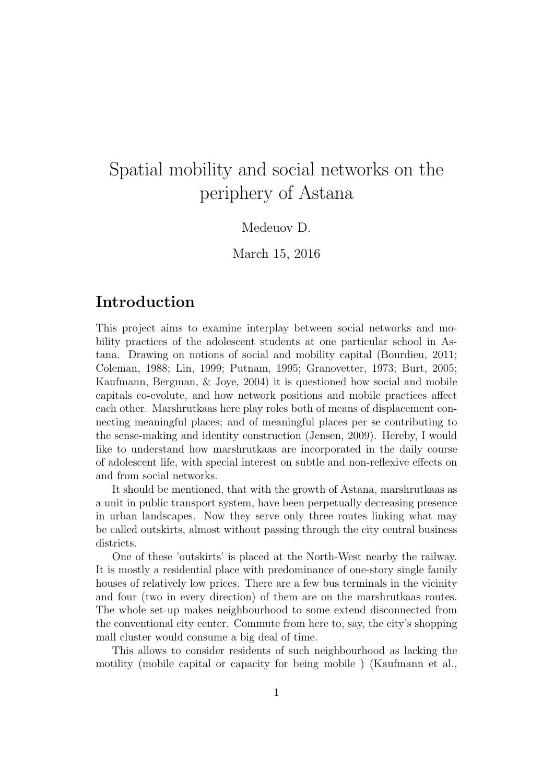# Spatial mobility and social networks on the periphery of Astana

#### Medeuov D.

March 15, 2016

# Introduction

This project aims to examine interplay between social networks and mobility practices of the adolescent students at one particular school in Astana. Drawing on notions of social and mobility capital (Bourdieu, 2011; Coleman, 1988; Lin, 1999; Putnam, 1995; Granovetter, 1973; Burt, 2005; Kaufmann, Bergman, & Joye, 2004) it is questioned how social and mobile capitals co-evolute, and how network positions and mobile practices affect each other. Marshrutkaas here play roles both of means of displacement connecting meaningful places; and of meaningful places per se contributing to the sense-making and identity construction (Jensen, 2009). Hereby, I would like to understand how marshrutkaas are incorporated in the daily course of adolescent life, with special interest on subtle and non-reflexive effects on and from social networks.

It should be mentioned, that with the growth of Astana, marshrutkaas as a unit in public transport system, have been perpetually decreasing presence in urban landscapes. Now they serve only three routes linking what may be called outskirts, almost without passing through the city central business districts.

One of these 'outskirts' is placed at the North-West nearby the railway. It is mostly a residential place with predominance of one-story single family houses of relatively low prices. There are a few bus terminals in the vicinity and four (two in every direction) of them are on the marshrutkaas routes. The whole set-up makes neighbourhood to some extend disconnected from the conventional city center. Commute from here to, say, the city's shopping mall cluster would consume a big deal of time.

This allows to consider residents of such neighbourhood as lacking the motility (mobile capital or capacity for being mobile ) (Kaufmann et al.,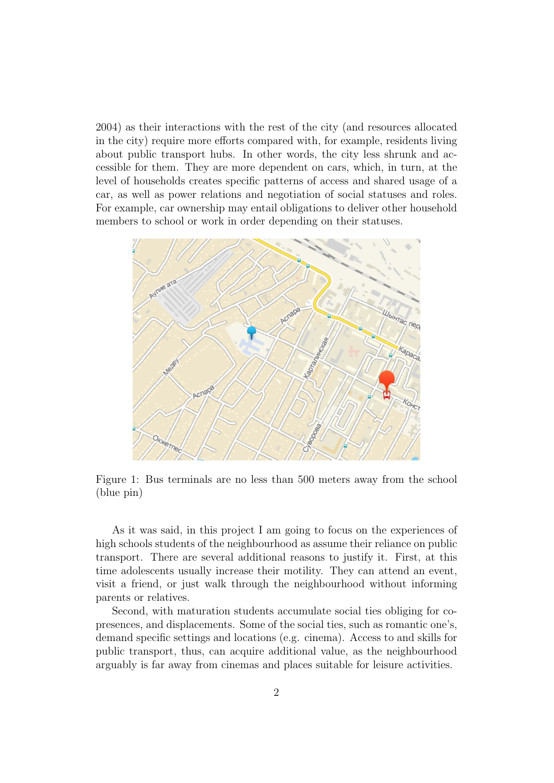2004) as their interactions with the rest of the city (and resources allocated in the city) require more efforts compared with, for example, residents living about public transport hubs. In other words, the city less shrunk and accessible for them. They are more dependent on cars, which, in turn, at the level of households creates specific patterns of access and shared usage of a car, as well as power relations and negotiation of social statuses and roles. For example, car ownership may entail obligations to deliver other household members to school or work in order depending on their statuses.



Figure 1: Bus terminals are no less than 500 meters away from the school (blue pin)

As it was said, in this project I am going to focus on the experiences of high schools students of the neighbourhood as assume their reliance on public transport. There are several additional reasons to justify it. First, at this time adolescents usually increase their motility. They can attend an event, visit a friend, or just walk through the neighbourhood without informing parents or relatives.

Second, with maturation students accumulate social ties obliging for copresences, and displacements. Some of the social ties, such as romantic one's, demand specific settings and locations (e.g. cinema). Access to and skills for public transport, thus, can acquire additional value, as the neighbourhood arguably is far away from cinemas and places suitable for leisure activities.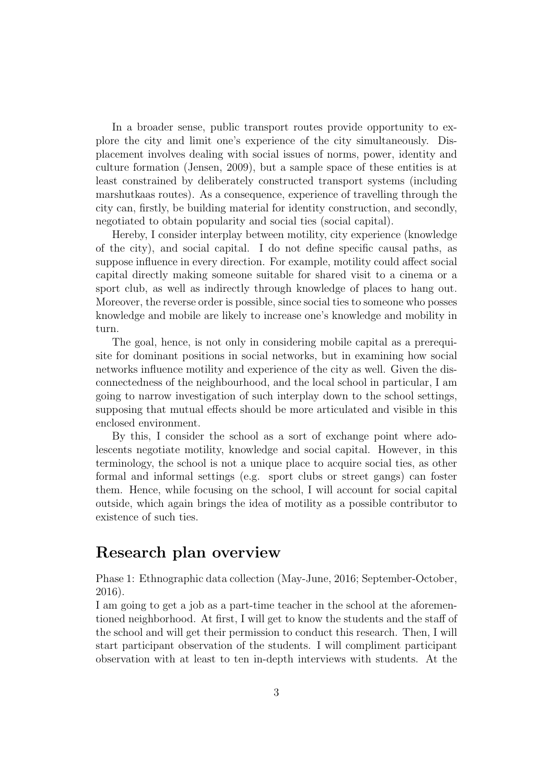In a broader sense, public transport routes provide opportunity to explore the city and limit one's experience of the city simultaneously. Displacement involves dealing with social issues of norms, power, identity and culture formation (Jensen, 2009), but a sample space of these entities is at least constrained by deliberately constructed transport systems (including marshutkaas routes). As a consequence, experience of travelling through the city can, firstly, be building material for identity construction, and secondly, negotiated to obtain popularity and social ties (social capital).

Hereby, I consider interplay between motility, city experience (knowledge of the city), and social capital. I do not define specific causal paths, as suppose influence in every direction. For example, motility could affect social capital directly making someone suitable for shared visit to a cinema or a sport club, as well as indirectly through knowledge of places to hang out. Moreover, the reverse order is possible, since social ties to someone who posses knowledge and mobile are likely to increase one's knowledge and mobility in turn.

The goal, hence, is not only in considering mobile capital as a prerequisite for dominant positions in social networks, but in examining how social networks influence motility and experience of the city as well. Given the disconnectedness of the neighbourhood, and the local school in particular, I am going to narrow investigation of such interplay down to the school settings, supposing that mutual effects should be more articulated and visible in this enclosed environment.

By this, I consider the school as a sort of exchange point where adolescents negotiate motility, knowledge and social capital. However, in this terminology, the school is not a unique place to acquire social ties, as other formal and informal settings (e.g. sport clubs or street gangs) can foster them. Hence, while focusing on the school, I will account for social capital outside, which again brings the idea of motility as a possible contributor to existence of such ties.

### Research plan overview

Phase 1: Ethnographic data collection (May-June, 2016; September-October, 2016).

I am going to get a job as a part-time teacher in the school at the aforementioned neighborhood. At first, I will get to know the students and the staff of the school and will get their permission to conduct this research. Then, I will start participant observation of the students. I will compliment participant observation with at least to ten in-depth interviews with students. At the